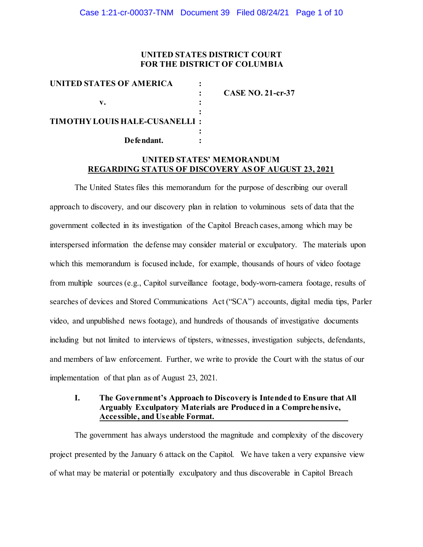## **UNITED STATES DISTRICT COURT FOR THE DISTRICT OF COLUMBIA**

| <b>UNITED STATES OF AMERICA</b>       |                          |
|---------------------------------------|--------------------------|
|                                       | <b>CASE NO. 21-cr-37</b> |
| v.                                    |                          |
| <b>TIMOTHY LOUIS HALE-CUSANELLI :</b> |                          |
| Defendant.                            |                          |

## **UNITED STATES' MEMORANDUM REGARDING STATUS OF DISCOVERY AS OF AUGUST 23, 2021**

The United States files this memorandum for the purpose of describing our overall approach to discovery, and our discovery plan in relation to voluminous sets of data that the government collected in its investigation of the Capitol Breach cases, among which may be interspersed information the defense may consider material or exculpatory. The materials upon which this memorandum is focused include, for example, thousands of hours of video footage from multiple sources (e.g., Capitol surveillance footage, body-worn-camera footage, results of searches of devices and Stored Communications Act ("SCA") accounts, digital media tips, Parler video, and unpublished news footage), and hundreds of thousands of investigative documents including but not limited to interviews of tipsters, witnesses, investigation subjects, defendants, and members of law enforcement. Further, we write to provide the Court with the status of our implementation of that plan as of August 23, 2021.

## **I. The Government's Approach to Discovery is Intended to Ensure that All Arguably Exculpatory Materials are Produced in a Comprehensive, Accessible, and Useable Format.**

The government has always understood the magnitude and complexity of the discovery project presented by the January 6 attack on the Capitol. We have taken a very expansive view of what may be material or potentially exculpatory and thus discoverable in Capitol Breach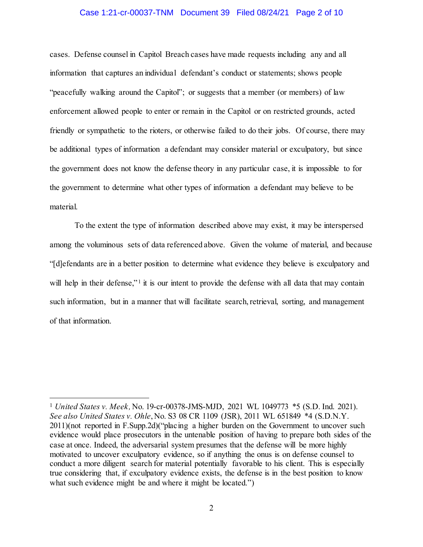#### Case 1:21-cr-00037-TNM Document 39 Filed 08/24/21 Page 2 of 10

cases. Defense counsel in Capitol Breach cases have made requests including any and all information that captures an individual defendant's conduct or statements; shows people "peacefully walking around the Capitol"; or suggests that a member (or members) of law enforcement allowed people to enter or remain in the Capitol or on restricted grounds, acted friendly or sympathetic to the rioters, or otherwise failed to do their jobs. Of course, there may be additional types of information a defendant may consider material or exculpatory, but since the government does not know the defense theory in any particular case, it is impossible to for the government to determine what other types of information a defendant may believe to be material.

To the extent the type of information described above may exist, it may be interspersed among the voluminous sets of data referenced above. Given the volume of material, and because "[d]efendants are in a better position to determine what evidence they believe is exculpatory and will help in their defense,"<sup>1</sup> it is our intent to provide the defense with all data that may contain such information, but in a manner that will facilitate search, retrieval, sorting, and management of that information.

l <sup>1</sup> *United States v. Meek,* No. 19-cr-00378-JMS-MJD, 2021 WL 1049773 \*5 (S.D. Ind. 2021). *See also United States v. Ohle*, No. S3 08 CR 1109 (JSR), 2011 WL 651849 \*4 (S.D.N.Y. 2011)(not reported in F.Supp.2d)("placing a higher burden on the Government to uncover such evidence would place prosecutors in the untenable position of having to prepare both sides of the case at once. Indeed, the adversarial system presumes that the defense will be more highly motivated to uncover exculpatory evidence, so if anything the onus is on defense counsel to conduct a more diligent search for material potentially favorable to his client. This is especially true considering that, if exculpatory evidence exists, the defense is in the best position to know what such evidence might be and where it might be located.")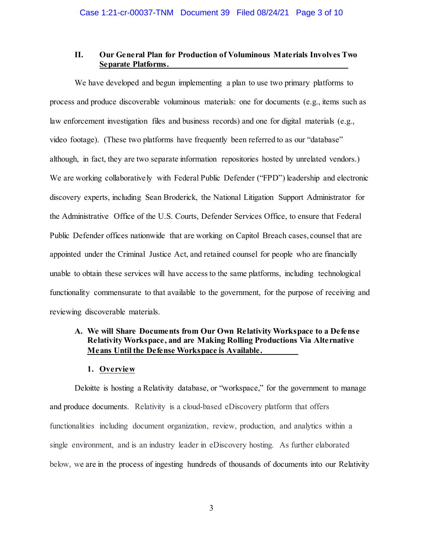## **II. Our General Plan for Production of Voluminous Materials Involves Two Separate Platforms.**

We have developed and begun implementing a plan to use two primary platforms to process and produce discoverable voluminous materials: one for documents (e.g., items such as law enforcement investigation files and business records) and one for digital materials (e.g., video footage). (These two platforms have frequently been referred to as our "database" although, in fact, they are two separate information repositories hosted by unrelated vendors.) We are working collaboratively with Federal Public Defender ("FPD") leadership and electronic discovery experts, including Sean Broderick, the National Litigation Support Administrator for the Administrative Office of the U.S. Courts, Defender Services Office, to ensure that Federal Public Defender offices nationwide that are working on Capitol Breach cases, counsel that are appointed under the Criminal Justice Act, and retained counsel for people who are financially unable to obtain these services will have access to the same platforms, including technological functionality commensurate to that available to the government, for the purpose of receiving and reviewing discoverable materials.

# **A. We will Share Documents from Our Own Relativity Workspace to a Defense Relativity Workspace, and are Making Rolling Productions Via Alternative Means Until the Defense Workspace is Available.**

### **1. Overview**

Deloitte is hosting a Relativity database, or "workspace," for the government to manage and produce documents. Relativity is a cloud-based eDiscovery platform that offers functionalities including document organization, review, production, and analytics within a single environment, and is an industry leader in eDiscovery hosting. As further elaborated below, we are in the process of ingesting hundreds of thousands of documents into our Relativity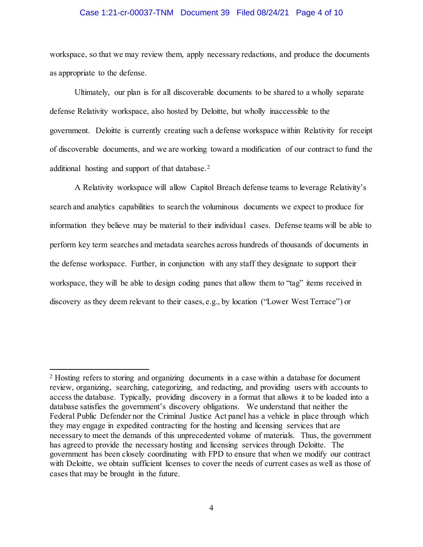### Case 1:21-cr-00037-TNM Document 39 Filed 08/24/21 Page 4 of 10

workspace, so that we may review them, apply necessary redactions, and produce the documents as appropriate to the defense.

Ultimately, our plan is for all discoverable documents to be shared to a wholly separate defense Relativity workspace, also hosted by Deloitte, but wholly inaccessible to the government. Deloitte is currently creating such a defense workspace within Relativity for receipt of discoverable documents, and we are working toward a modification of our contract to fund the additional hosting and support of that database. 2

A Relativity workspace will allow Capitol Breach defense teams to leverage Relativity's search and analytics capabilities to search the voluminous documents we expect to produce for information they believe may be material to their individual cases. Defense teams will be able to perform key term searches and metadata searches across hundreds of thousands of documents in the defense workspace. Further, in conjunction with any staff they designate to support their workspace, they will be able to design coding panes that allow them to "tag" items received in discovery as they deem relevant to their cases, e.g., by location ("Lower West Terrace") or

l

<sup>2</sup> Hosting refers to storing and organizing documents in a case within a database for document review, organizing, searching, categorizing, and redacting, and providing users with accounts to access the database. Typically, providing discovery in a format that allows it to be loaded into a database satisfies the government's discovery obligations. We understand that neither the Federal Public Defender nor the Criminal Justice Act panel has a vehicle in place through which they may engage in expedited contracting for the hosting and licensing services that are necessary to meet the demands of this unprecedented volume of materials. Thus, the government has agreed to provide the necessary hosting and licensing services through Deloitte. The government has been closely coordinating with FPD to ensure that when we modify our contract with Deloitte, we obtain sufficient licenses to cover the needs of current cases as well as those of cases that may be brought in the future.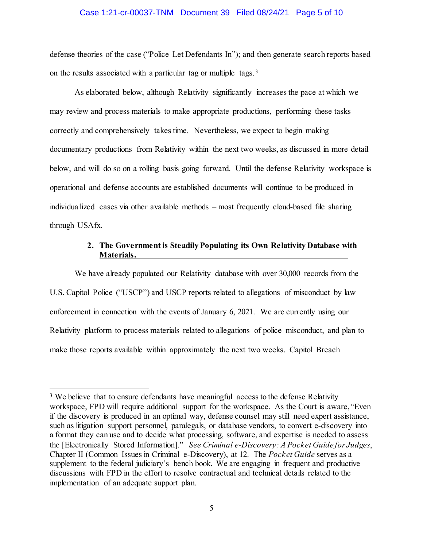#### Case 1:21-cr-00037-TNM Document 39 Filed 08/24/21 Page 5 of 10

defense theories of the case ("Police Let Defendants In"); and then generate search reports based on the results associated with a particular tag or multiple tags.3

As elaborated below, although Relativity significantly increases the pace at which we may review and process materials to make appropriate productions, performing these tasks correctly and comprehensively takes time. Nevertheless, we expect to begin making documentary productions from Relativity within the next two weeks, as discussed in more detail below, and will do so on a rolling basis going forward. Until the defense Relativity workspace is operational and defense accounts are established documents will continue to be produced in individualized cases via other available methods – most frequently cloud-based file sharing through USAfx.

## **2. The Government is Steadily Populating its Own Relativity Database with Materials.**

We have already populated our Relativity database with over 30,000 records from the U.S. Capitol Police ("USCP") and USCP reports related to allegations of misconduct by law enforcement in connection with the events of January 6, 2021. We are currently using our Relativity platform to process materials related to allegations of police misconduct, and plan to make those reports available within approximately the next two weeks. Capitol Breach

 $\overline{a}$ 

<sup>&</sup>lt;sup>3</sup> We believe that to ensure defendants have meaningful access to the defense Relativity workspace, FPD will require additional support for the workspace. As the Court is aware, "Even if the discovery is produced in an optimal way, defense counsel may still need expert assistance, such as litigation support personnel, paralegals, or database vendors, to convert e-discovery into a format they can use and to decide what processing, software, and expertise is needed to assess the [Electronically Stored Information]." *See Criminal e-Discovery: A Pocket Guide for Judges*, Chapter II (Common Issues in Criminal e-Discovery), at 12.The *Pocket Guide* serves as a supplement to the federal judiciary's bench book. We are engaging in frequent and productive discussions with FPD in the effort to resolve contractual and technical details related to the implementation of an adequate support plan.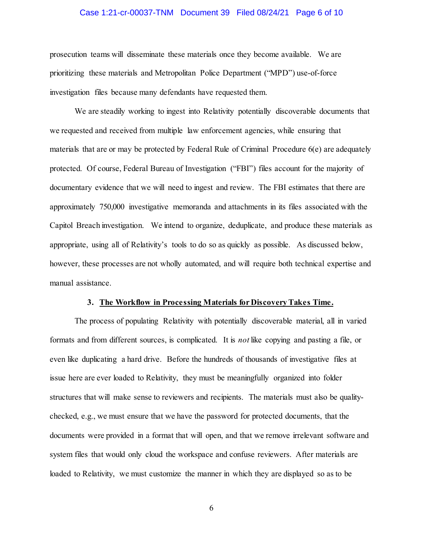### Case 1:21-cr-00037-TNM Document 39 Filed 08/24/21 Page 6 of 10

prosecution teams will disseminate these materials once they become available. We are prioritizing these materials and Metropolitan Police Department ("MPD") use-of-force investigation files because many defendants have requested them.

We are steadily working to ingest into Relativity potentially discoverable documents that we requested and received from multiple law enforcement agencies, while ensuring that materials that are or may be protected by Federal Rule of Criminal Procedure 6(e) are adequately protected. Of course, Federal Bureau of Investigation ("FBI") files account for the majority of documentary evidence that we will need to ingest and review. The FBI estimates that there are approximately 750,000 investigative memoranda and attachments in its files associated with the Capitol Breach investigation. We intend to organize, deduplicate, and produce these materials as appropriate, using all of Relativity's tools to do so as quickly as possible. As discussed below, however, these processes are not wholly automated, and will require both technical expertise and manual assistance.

#### **3. The Workflow in Processing Materials for DiscoveryTakes Time.**

The process of populating Relativity with potentially discoverable material, all in varied formats and from different sources, is complicated. It is *not* like copying and pasting a file, or even like duplicating a hard drive. Before the hundreds of thousands of investigative files at issue here are ever loaded to Relativity, they must be meaningfully organized into folder structures that will make sense to reviewers and recipients. The materials must also be qualitychecked, e.g., we must ensure that we have the password for protected documents, that the documents were provided in a format that will open, and that we remove irrelevant software and system files that would only cloud the workspace and confuse reviewers. After materials are loaded to Relativity, we must customize the manner in which they are displayed so as to be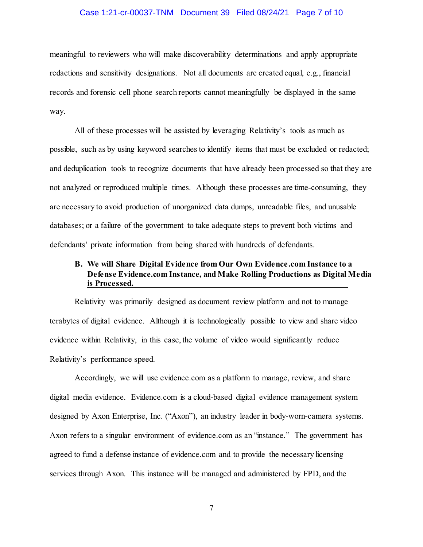### Case 1:21-cr-00037-TNM Document 39 Filed 08/24/21 Page 7 of 10

meaningful to reviewers who will make discoverability determinations and apply appropriate redactions and sensitivity designations. Not all documents are created equal, e.g., financial records and forensic cell phone search reports cannot meaningfully be displayed in the same way.

All of these processes will be assisted by leveraging Relativity's tools as much as possible, such as by using keyword searches to identify items that must be excluded or redacted; and deduplication tools to recognize documents that have already been processed so that they are not analyzed or reproduced multiple times. Although these processes are time-consuming, they are necessary to avoid production of unorganized data dumps, unreadable files, and unusable databases; or a failure of the government to take adequate steps to prevent both victims and defendants' private information from being shared with hundreds of defendants.

# **B. We will Share Digital Evidence from Our Own Evidence.com Instance to a Defense Evidence.com Instance, and Make Rolling Productions as Digital Media is Processed.**

Relativity was primarily designed as document review platform and not to manage terabytes of digital evidence. Although it is technologically possible to view and share video evidence within Relativity, in this case, the volume of video would significantly reduce Relativity's performance speed.

Accordingly, we will use evidence.com as a platform to manage, review, and share digital media evidence. Evidence.com is a cloud-based digital evidence management system designed by Axon Enterprise, Inc. ("Axon"), an industry leader in body-worn-camera systems. Axon refers to a singular environment of evidence.com as an "instance." The government has agreed to fund a defense instance of evidence.com and to provide the necessary licensing services through Axon. This instance will be managed and administered by FPD, and the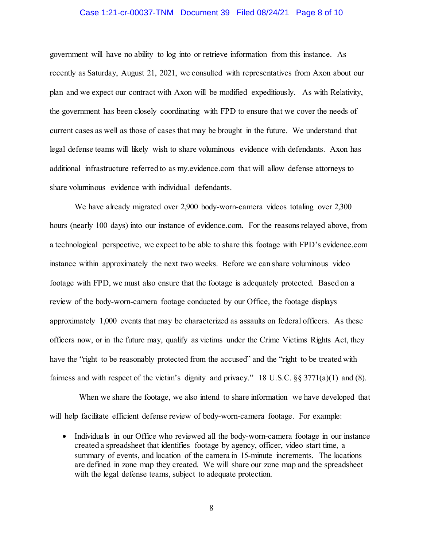### Case 1:21-cr-00037-TNM Document 39 Filed 08/24/21 Page 8 of 10

government will have no ability to log into or retrieve information from this instance. As recently as Saturday, August 21, 2021, we consulted with representatives from Axon about our plan and we expect our contract with Axon will be modified expeditiously. As with Relativity, the government has been closely coordinating with FPD to ensure that we cover the needs of current cases as well as those of cases that may be brought in the future. We understand that legal defense teams will likely wish to share voluminous evidence with defendants. Axon has additional infrastructure referred to as my.evidence.com that will allow defense attorneys to share voluminous evidence with individual defendants.

We have already migrated over 2,900 body-worn-camera videos totaling over 2,300 hours (nearly 100 days) into our instance of evidence.com. For the reasons relayed above, from a technological perspective, we expect to be able to share this footage with FPD's evidence.com instance within approximately the next two weeks. Before we can share voluminous video footage with FPD, we must also ensure that the footage is adequately protected. Based on a review of the body-worn-camera footage conducted by our Office, the footage displays approximately 1,000 events that may be characterized as assaults on federal officers. As these officers now, or in the future may, qualify as victims under the Crime Victims Rights Act, they have the "right to be reasonably protected from the accused" and the "right to be treated with fairness and with respect of the victim's dignity and privacy." 18 U.S.C. §§ 3771(a)(1) and (8).

 When we share the footage, we also intend to share information we have developed that will help facilitate efficient defense review of body-worn-camera footage. For example:

• Individuals in our Office who reviewed all the body-worn-camera footage in our instance created a spreadsheet that identifies footage by agency, officer, video start time, a summary of events, and location of the camera in 15-minute increments. The locations are defined in zone map they created. We will share our zone map and the spreadsheet with the legal defense teams, subject to adequate protection.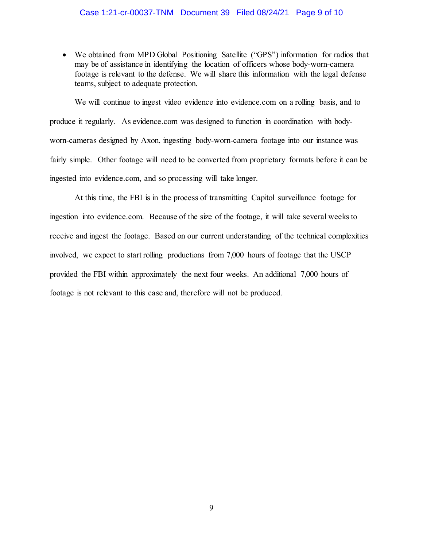• We obtained from MPD Global Positioning Satellite ("GPS") information for radios that may be of assistance in identifying the location of officers whose body-worn-camera footage is relevant to the defense. We will share this information with the legal defense teams, subject to adequate protection.

We will continue to ingest video evidence into evidence.com on a rolling basis, and to produce it regularly. As evidence.com was designed to function in coordination with bodyworn-cameras designed by Axon, ingesting body-worn-camera footage into our instance was fairly simple. Other footage will need to be converted from proprietary formats before it can be ingested into evidence.com, and so processing will take longer.

At this time, the FBI is in the process of transmitting Capitol surveillance footage for ingestion into evidence.com. Because of the size of the footage, it will take several weeks to receive and ingest the footage. Based on our current understanding of the technical complexities involved, we expect to start rolling productions from 7,000 hours of footage that the USCP provided the FBI within approximately the next four weeks. An additional 7,000 hours of footage is not relevant to this case and, therefore will not be produced.